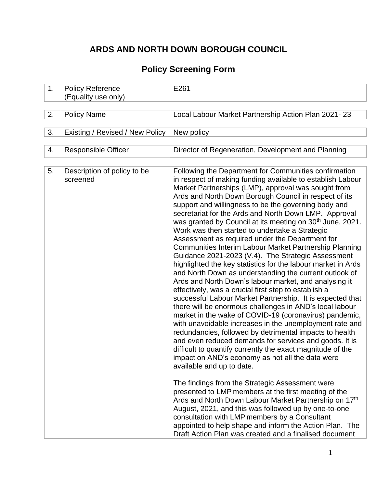# **ARDS AND NORTH DOWN BOROUGH COUNCIL**

## **Policy Screening Form**

| 1. | <b>Policy Reference</b><br>(Equality use only) | E261                                                                                                                                                                                                                                                                                                                                                                                                                                                                                                                                                                                                                                                                                                                                                                                                                                                                                                                                                                                                                                                                                                                                                                                                                                                                                                                                                                                                                                                                                                                                                                                                                                                                                                                                                                                                             |
|----|------------------------------------------------|------------------------------------------------------------------------------------------------------------------------------------------------------------------------------------------------------------------------------------------------------------------------------------------------------------------------------------------------------------------------------------------------------------------------------------------------------------------------------------------------------------------------------------------------------------------------------------------------------------------------------------------------------------------------------------------------------------------------------------------------------------------------------------------------------------------------------------------------------------------------------------------------------------------------------------------------------------------------------------------------------------------------------------------------------------------------------------------------------------------------------------------------------------------------------------------------------------------------------------------------------------------------------------------------------------------------------------------------------------------------------------------------------------------------------------------------------------------------------------------------------------------------------------------------------------------------------------------------------------------------------------------------------------------------------------------------------------------------------------------------------------------------------------------------------------------|
|    |                                                |                                                                                                                                                                                                                                                                                                                                                                                                                                                                                                                                                                                                                                                                                                                                                                                                                                                                                                                                                                                                                                                                                                                                                                                                                                                                                                                                                                                                                                                                                                                                                                                                                                                                                                                                                                                                                  |
| 2. | <b>Policy Name</b>                             | Local Labour Market Partnership Action Plan 2021-23                                                                                                                                                                                                                                                                                                                                                                                                                                                                                                                                                                                                                                                                                                                                                                                                                                                                                                                                                                                                                                                                                                                                                                                                                                                                                                                                                                                                                                                                                                                                                                                                                                                                                                                                                              |
| 3. | <b>Existing / Revised / New Policy</b>         | New policy                                                                                                                                                                                                                                                                                                                                                                                                                                                                                                                                                                                                                                                                                                                                                                                                                                                                                                                                                                                                                                                                                                                                                                                                                                                                                                                                                                                                                                                                                                                                                                                                                                                                                                                                                                                                       |
| 4. | <b>Responsible Officer</b>                     | Director of Regeneration, Development and Planning                                                                                                                                                                                                                                                                                                                                                                                                                                                                                                                                                                                                                                                                                                                                                                                                                                                                                                                                                                                                                                                                                                                                                                                                                                                                                                                                                                                                                                                                                                                                                                                                                                                                                                                                                               |
| 5. | Description of policy to be<br>screened        | Following the Department for Communities confirmation<br>in respect of making funding available to establish Labour<br>Market Partnerships (LMP), approval was sought from<br>Ards and North Down Borough Council in respect of its<br>support and willingness to be the governing body and<br>secretariat for the Ards and North Down LMP. Approval<br>was granted by Council at its meeting on 30 <sup>th</sup> June, 2021.<br>Work was then started to undertake a Strategic<br>Assessment as required under the Department for<br>Communities Interim Labour Market Partnership Planning<br>Guidance 2021-2023 (V.4). The Strategic Assessment<br>highlighted the key statistics for the labour market in Ards<br>and North Down as understanding the current outlook of<br>Ards and North Down's labour market, and analysing it<br>effectively, was a crucial first step to establish a<br>successful Labour Market Partnership. It is expected that<br>there will be enormous challenges in AND's local labour<br>market in the wake of COVID-19 (coronavirus) pandemic,<br>with unavoidable increases in the unemployment rate and<br>redundancies, followed by detrimental impacts to health<br>and even reduced demands for services and goods. It is<br>difficult to quantify currently the exact magnitude of the<br>impact on AND's economy as not all the data were<br>available and up to date.<br>The findings from the Strategic Assessment were<br>presented to LMP members at the first meeting of the<br>Ards and North Down Labour Market Partnership on 17th<br>August, 2021, and this was followed up by one-to-one<br>consultation with LMP members by a Consultant<br>appointed to help shape and inform the Action Plan. The<br>Draft Action Plan was created and a finalised document |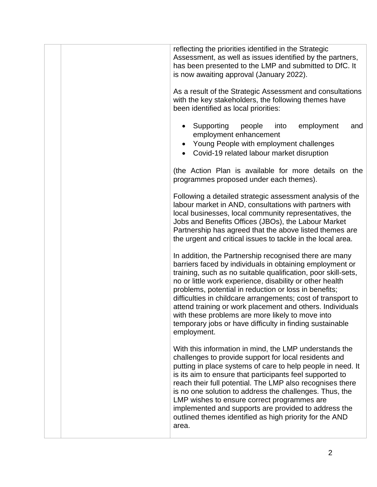| reflecting the priorities identified in the Strategic<br>Assessment, as well as issues identified by the partners,<br>has been presented to the LMP and submitted to DfC. It<br>is now awaiting approval (January 2022).                                                                                                                                                                                                                                                                                                                                             |
|----------------------------------------------------------------------------------------------------------------------------------------------------------------------------------------------------------------------------------------------------------------------------------------------------------------------------------------------------------------------------------------------------------------------------------------------------------------------------------------------------------------------------------------------------------------------|
| As a result of the Strategic Assessment and consultations<br>with the key stakeholders, the following themes have<br>been identified as local priorities:                                                                                                                                                                                                                                                                                                                                                                                                            |
| Supporting<br>employment<br>people<br>into<br>and<br>employment enhancement<br>Young People with employment challenges<br>Covid-19 related labour market disruption                                                                                                                                                                                                                                                                                                                                                                                                  |
| (the Action Plan is available for more details on the<br>programmes proposed under each themes).                                                                                                                                                                                                                                                                                                                                                                                                                                                                     |
| Following a detailed strategic assessment analysis of the<br>labour market in AND, consultations with partners with<br>local businesses, local community representatives, the<br>Jobs and Benefits Offices (JBOs), the Labour Market<br>Partnership has agreed that the above listed themes are<br>the urgent and critical issues to tackle in the local area.                                                                                                                                                                                                       |
| In addition, the Partnership recognised there are many<br>barriers faced by individuals in obtaining employment or<br>training, such as no suitable qualification, poor skill-sets,<br>no or little work experience, disability or other health<br>problems, potential in reduction or loss in benefits;<br>difficulties in childcare arrangements; cost of transport to<br>attend training or work placement and others. Individuals<br>with these problems are more likely to move into<br>temporary jobs or have difficulty in finding sustainable<br>employment. |
| With this information in mind, the LMP understands the<br>challenges to provide support for local residents and<br>putting in place systems of care to help people in need. It<br>is its aim to ensure that participants feel supported to<br>reach their full potential. The LMP also recognises there<br>is no one solution to address the challenges. Thus, the<br>LMP wishes to ensure correct programmes are<br>implemented and supports are provided to address the<br>outlined themes identified as high priority for the AND<br>area.                        |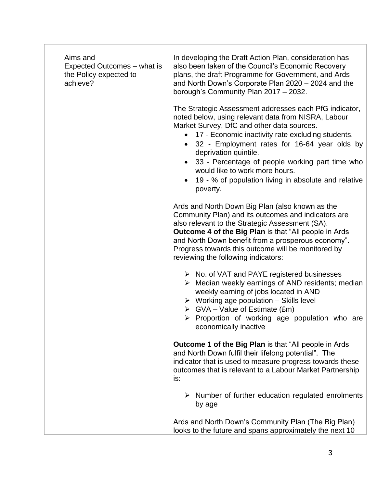| Aims and<br>Expected Outcomes – what is<br>the Policy expected to<br>achieve? | In developing the Draft Action Plan, consideration has<br>also been taken of the Council's Economic Recovery<br>plans, the draft Programme for Government, and Ards<br>and North Down's Corporate Plan 2020 - 2024 and the<br>borough's Community Plan 2017 - 2032.                                                                                                                                                                                |
|-------------------------------------------------------------------------------|----------------------------------------------------------------------------------------------------------------------------------------------------------------------------------------------------------------------------------------------------------------------------------------------------------------------------------------------------------------------------------------------------------------------------------------------------|
|                                                                               | The Strategic Assessment addresses each PfG indicator,<br>noted below, using relevant data from NISRA, Labour<br>Market Survey, DfC and other data sources.<br>17 - Economic inactivity rate excluding students.<br>32 - Employment rates for 16-64 year olds by<br>deprivation quintile.<br>33 - Percentage of people working part time who<br>would like to work more hours.<br>19 - % of population living in absolute and relative<br>poverty. |
|                                                                               | Ards and North Down Big Plan (also known as the<br>Community Plan) and its outcomes and indicators are<br>also relevant to the Strategic Assessment (SA).<br><b>Outcome 4 of the Big Plan is that "All people in Ards</b><br>and North Down benefit from a prosperous economy".<br>Progress towards this outcome will be monitored by<br>reviewing the following indicators:                                                                       |
|                                                                               | $\triangleright$ No. of VAT and PAYE registered businesses<br>$\triangleright$ Median weekly earnings of AND residents; median<br>weekly earning of jobs located in AND<br>$\triangleright$ Working age population - Skills level<br>$\triangleright$ GVA – Value of Estimate (£m)<br>$\triangleright$ Proportion of working age population who are<br>economically inactive                                                                       |
|                                                                               | <b>Outcome 1 of the Big Plan is that "All people in Ards</b><br>and North Down fulfil their lifelong potential". The<br>indicator that is used to measure progress towards these<br>outcomes that is relevant to a Labour Market Partnership<br>is:                                                                                                                                                                                                |
|                                                                               | $\triangleright$ Number of further education regulated enrolments<br>by age                                                                                                                                                                                                                                                                                                                                                                        |
|                                                                               | Ards and North Down's Community Plan (The Big Plan)<br>looks to the future and spans approximately the next 10                                                                                                                                                                                                                                                                                                                                     |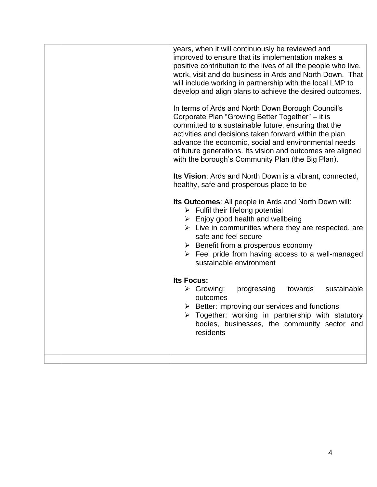|  | years, when it will continuously be reviewed and<br>improved to ensure that its implementation makes a<br>positive contribution to the lives of all the people who live,<br>work, visit and do business in Ards and North Down. That<br>will include working in partnership with the local LMP to<br>develop and align plans to achieve the desired outcomes.                                                    |
|--|------------------------------------------------------------------------------------------------------------------------------------------------------------------------------------------------------------------------------------------------------------------------------------------------------------------------------------------------------------------------------------------------------------------|
|  | In terms of Ards and North Down Borough Council's<br>Corporate Plan "Growing Better Together" - it is<br>committed to a sustainable future, ensuring that the<br>activities and decisions taken forward within the plan<br>advance the economic, social and environmental needs<br>of future generations. Its vision and outcomes are aligned<br>with the borough's Community Plan (the Big Plan).               |
|  | Its Vision: Ards and North Down is a vibrant, connected,<br>healthy, safe and prosperous place to be                                                                                                                                                                                                                                                                                                             |
|  | Its Outcomes: All people in Ards and North Down will:<br>$\triangleright$ Fulfil their lifelong potential<br>$\triangleright$ Enjoy good health and wellbeing<br>$\triangleright$ Live in communities where they are respected, are<br>safe and feel secure<br>$\triangleright$ Benefit from a prosperous economy<br>$\triangleright$ Feel pride from having access to a well-managed<br>sustainable environment |
|  | <b>Its Focus:</b><br>$\triangleright$ Growing:<br>progressing<br>towards<br>sustainable<br>outcomes<br>$\triangleright$ Better: improving our services and functions<br>> Together: working in partnership with statutory<br>bodies, businesses, the community sector and<br>residents                                                                                                                           |
|  |                                                                                                                                                                                                                                                                                                                                                                                                                  |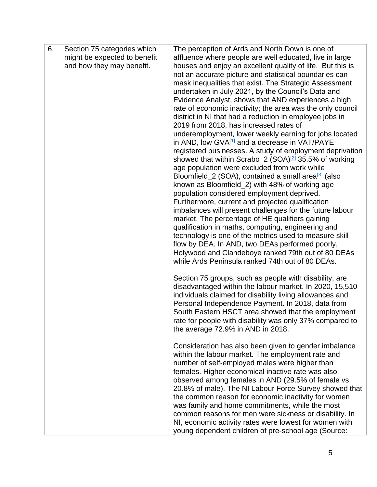| 6. | Section 75 categories which  | The perception of Ards and North Down is one of                                                                       |
|----|------------------------------|-----------------------------------------------------------------------------------------------------------------------|
|    | might be expected to benefit | affluence where people are well educated, live in large                                                               |
|    | and how they may benefit.    | houses and enjoy an excellent quality of life. But this is                                                            |
|    |                              | not an accurate picture and statistical boundaries can                                                                |
|    |                              | mask inequalities that exist. The Strategic Assessment                                                                |
|    |                              | undertaken in July 2021, by the Council's Data and                                                                    |
|    |                              | Evidence Analyst, shows that AND experiences a high                                                                   |
|    |                              | rate of economic inactivity; the area was the only council                                                            |
|    |                              | district in NI that had a reduction in employee jobs in                                                               |
|    |                              | 2019 from 2018, has increased rates of                                                                                |
|    |                              | underemployment, lower weekly earning for jobs located<br>in AND, low $\frac{GVA^{11}}{4}$ and a decrease in VAT/PAYE |
|    |                              | registered businesses. A study of employment deprivation                                                              |
|    |                              | showed that within Scrabo_2 (SOA) $^{[2]}$ 35.5% of working                                                           |
|    |                              | age population were excluded from work while                                                                          |
|    |                              | Bloomfield_2 (SOA), contained a small area <sup>[3]</sup> (also                                                       |
|    |                              | known as Bloomfield_2) with 48% of working age                                                                        |
|    |                              | population considered employment deprived.                                                                            |
|    |                              | Furthermore, current and projected qualification                                                                      |
|    |                              | imbalances will present challenges for the future labour                                                              |
|    |                              | market. The percentage of HE qualifiers gaining                                                                       |
|    |                              | qualification in maths, computing, engineering and                                                                    |
|    |                              | technology is one of the metrics used to measure skill                                                                |
|    |                              | flow by DEA. In AND, two DEAs performed poorly,                                                                       |
|    |                              | Holywood and Clandeboye ranked 79th out of 80 DEAs                                                                    |
|    |                              | while Ards Peninsula ranked 74th out of 80 DEAs.                                                                      |
|    |                              | Section 75 groups, such as people with disability, are                                                                |
|    |                              | disadvantaged within the labour market. In 2020, 15,510                                                               |
|    |                              | individuals claimed for disability living allowances and                                                              |
|    |                              | Personal Independence Payment. In 2018, data from                                                                     |
|    |                              | South Eastern HSCT area showed that the employment                                                                    |
|    |                              | rate for people with disability was only 37% compared to                                                              |
|    |                              | the average 72.9% in AND in 2018.                                                                                     |
|    |                              | Consideration has also been given to gender imbalance                                                                 |
|    |                              | within the labour market. The employment rate and                                                                     |
|    |                              | number of self-employed males were higher than                                                                        |
|    |                              | females. Higher economical inactive rate was also                                                                     |
|    |                              | observed among females in AND (29.5% of female vs                                                                     |
|    |                              | 20.8% of male). The NI Labour Force Survey showed that                                                                |
|    |                              | the common reason for economic inactivity for women                                                                   |
|    |                              | was family and home commitments, while the most                                                                       |
|    |                              | common reasons for men were sickness or disability. In                                                                |
|    |                              | NI, economic activity rates were lowest for women with                                                                |
|    |                              | young dependent children of pre-school age (Source:                                                                   |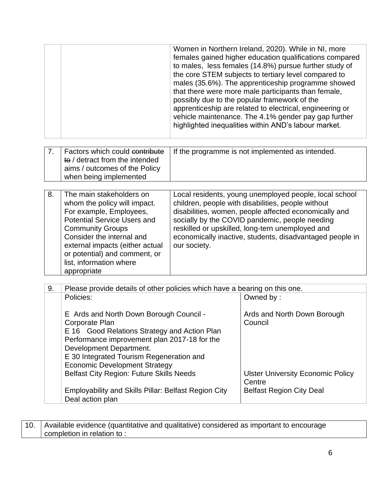|    |                                                                                                                                                                                                                                                                                                                                | Women in Northern Ireland, 2020). While in NI, more<br>females gained higher education qualifications compared<br>to males, less females (14.8%) pursue further study of<br>the core STEM subjects to tertiary level compared to<br>males (35.6%). The apprenticeship programme showed<br>that there were more male participants than female,<br>possibly due to the popular framework of the<br>apprenticeship are related to electrical, engineering or<br>vehicle maintenance. The 4.1% gender pay gap further<br>highlighted inequalities within AND's labour market. |                                                  |  |  |  |  |  |
|----|--------------------------------------------------------------------------------------------------------------------------------------------------------------------------------------------------------------------------------------------------------------------------------------------------------------------------------|---------------------------------------------------------------------------------------------------------------------------------------------------------------------------------------------------------------------------------------------------------------------------------------------------------------------------------------------------------------------------------------------------------------------------------------------------------------------------------------------------------------------------------------------------------------------------|--------------------------------------------------|--|--|--|--|--|
| 7. | Factors which could contribute<br>to / detract from the intended<br>aims / outcomes of the Policy<br>when being implemented                                                                                                                                                                                                    |                                                                                                                                                                                                                                                                                                                                                                                                                                                                                                                                                                           | If the programme is not implemented as intended. |  |  |  |  |  |
| 8. | The main stakeholders on<br>whom the policy will impact.<br>For example, Employees,<br><b>Potential Service Users and</b><br><b>Community Groups</b><br>Consider the internal and<br>external impacts (either actual<br>or potential) and comment, or<br>list, information where<br>appropriate                                | Local residents, young unemployed people, local school<br>children, people with disabilities, people without<br>disabilities, women, people affected economically and<br>socially by the COVID pandemic, people needing<br>reskilled or upskilled, long-tern unemployed and<br>economically inactive, students, disadvantaged people in<br>our society.                                                                                                                                                                                                                   |                                                  |  |  |  |  |  |
|    |                                                                                                                                                                                                                                                                                                                                |                                                                                                                                                                                                                                                                                                                                                                                                                                                                                                                                                                           |                                                  |  |  |  |  |  |
| 9. | Please provide details of other policies which have a bearing on this one.<br>Policies:                                                                                                                                                                                                                                        |                                                                                                                                                                                                                                                                                                                                                                                                                                                                                                                                                                           | Owned by:                                        |  |  |  |  |  |
|    | E Ards and North Down Borough Council -<br>Corporate Plan<br>Good Relations Strategy and Action Plan<br>E 16<br>Performance improvement plan 2017-18 for the<br>Development Department.<br>E 30 Integrated Tourism Regeneration and<br><b>Economic Development Strategy</b><br><b>Belfast City Region: Future Skills Needs</b> | Ards and North Down Borough<br>Council<br><b>Ulster University Economic Policy</b>                                                                                                                                                                                                                                                                                                                                                                                                                                                                                        |                                                  |  |  |  |  |  |
|    | <b>Employability and Skills Pillar: Belfast Region City</b><br>Deal action plan                                                                                                                                                                                                                                                |                                                                                                                                                                                                                                                                                                                                                                                                                                                                                                                                                                           | Centre<br><b>Belfast Region City Deal</b>        |  |  |  |  |  |

| 10.   Available evidence (quantitative and qualitative) considered as important to encourage |
|----------------------------------------------------------------------------------------------|
| completion in relation to :                                                                  |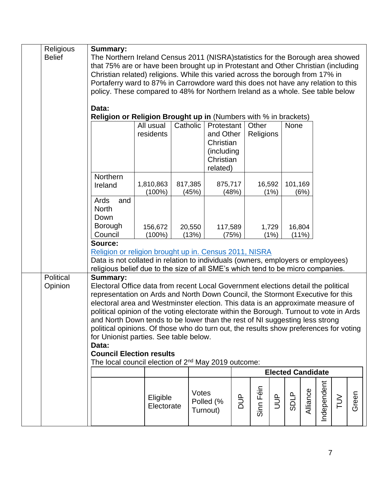| Religious<br><b>Belief</b> | <b>Summary:</b><br>The Northern Ireland Census 2011 (NISRA) statistics for the Borough area showed<br>that 75% are or have been brought up in Protestant and Other Christian (including<br>Christian related) religions. While this varied across the borough from 17% in<br>Portaferry ward to 87% in Carrowdore ward this does not have any relation to this<br>policy. These compared to 48% for Northern Ireland as a whole. See table below<br>Data:                                                                                                                                                                                                                                                                                                                        |                        |                  |                       |          |           |               |                          |          |             |        |       |
|----------------------------|----------------------------------------------------------------------------------------------------------------------------------------------------------------------------------------------------------------------------------------------------------------------------------------------------------------------------------------------------------------------------------------------------------------------------------------------------------------------------------------------------------------------------------------------------------------------------------------------------------------------------------------------------------------------------------------------------------------------------------------------------------------------------------|------------------------|------------------|-----------------------|----------|-----------|---------------|--------------------------|----------|-------------|--------|-------|
|                            | Religion or Religion Brought up in (Numbers with % in brackets)<br>Catholic<br>All usual<br>Protestant<br>Other<br>None<br>residents<br>and Other<br>Religions<br>Christian<br>(including)<br>Christian                                                                                                                                                                                                                                                                                                                                                                                                                                                                                                                                                                          |                        |                  |                       |          |           |               |                          |          |             |        |       |
|                            | Northern<br>Ireland<br>Ards<br>and                                                                                                                                                                                                                                                                                                                                                                                                                                                                                                                                                                                                                                                                                                                                               | 1,810,863<br>$(100\%)$ | 817,385<br>(45%) | related)<br>875,717   | (48%)    | 16,592    | (1%)          | 101,169                  | (6%)     |             |        |       |
|                            | <b>North</b><br>Down<br>Borough<br>Council                                                                                                                                                                                                                                                                                                                                                                                                                                                                                                                                                                                                                                                                                                                                       | 156,672<br>$(100\%)$   | 20,550<br>(13%)  | 117,589               | (75%)    |           | 1,729<br>(1%) | 16,804                   | (11%)    |             |        |       |
|                            | Source:<br>Religion or religion brought up in. Census 2011, NISRA<br>Data is not collated in relation to individuals (owners, employers or employees)                                                                                                                                                                                                                                                                                                                                                                                                                                                                                                                                                                                                                            |                        |                  |                       |          |           |               |                          |          |             |        |       |
| Political<br>Opinion       | religious belief due to the size of all SME's which tend to be micro companies.<br>Summary:<br>Electoral Office data from recent Local Government elections detail the political<br>representation on Ards and North Down Council, the Stormont Executive for this<br>electoral area and Westminster election. This data is an approximate measure of<br>political opinion of the voting electorate within the Borough. Turnout to vote in Ards<br>and North Down tends to be lower than the rest of NI suggesting less strong<br>political opinions. Of those who do turn out, the results show preferences for voting<br>for Unionist parties. See table below.<br>Data:<br><b>Council Election results</b><br>The local council election of 2 <sup>nd</sup> May 2019 outcome: |                        |                  |                       |          |           |               |                          |          |             |        |       |
|                            |                                                                                                                                                                                                                                                                                                                                                                                                                                                                                                                                                                                                                                                                                                                                                                                  |                        |                  |                       |          |           |               | <b>Elected Candidate</b> |          |             |        |       |
|                            |                                                                                                                                                                                                                                                                                                                                                                                                                                                                                                                                                                                                                                                                                                                                                                                  | Eligible<br>Electorate | Votes            | Polled (%<br>Turnout) | ard<br>D | Sinn Féin | $\frac{1}{2}$ | <b>SDLP</b>              | Alliance | Independent | $\geq$ | Green |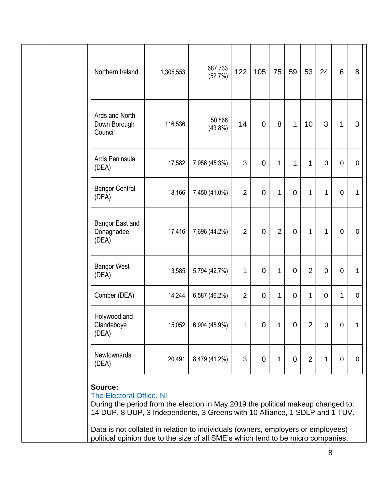|  | Northern Ireland                                                                                                                                                                                                                                                                                                                                                               | 1,305,553 | 687,733<br>(52.7%)   | 122            | 105            | 75             | 59             | 53             | 24             | 6           | 8           |
|--|--------------------------------------------------------------------------------------------------------------------------------------------------------------------------------------------------------------------------------------------------------------------------------------------------------------------------------------------------------------------------------|-----------|----------------------|----------------|----------------|----------------|----------------|----------------|----------------|-------------|-------------|
|  | Ards and North<br>Down Borough<br>Council                                                                                                                                                                                                                                                                                                                                      | 116,536   | 50,866<br>$(43.8\%)$ | 14             | $\overline{0}$ | 8              | 1              | 10             | 3              | 1           | 3           |
|  | Ards Peninsula<br>(DEA)                                                                                                                                                                                                                                                                                                                                                        | 17,582    | 7,956 (45.3%)        | 3              | $\overline{0}$ | $\mathbf{1}$   | 1              | 1              | 0              | $\mathbf 0$ | $\mathbf 0$ |
|  | <b>Bangor Central</b><br>(DEA)                                                                                                                                                                                                                                                                                                                                                 | 18,166    | 7,450 (41.0%)        | $\overline{2}$ | $\overline{0}$ | $\mathbf{1}$   | $\overline{0}$ | $\mathbf 1$    | 1              | $\mathbf 0$ | 1           |
|  | Bangor East and<br>Donaghadee<br>(DEA)                                                                                                                                                                                                                                                                                                                                         | 17,416    | 7,696 (44.2%)        | $\overline{2}$ | $\overline{0}$ | $\overline{2}$ | $\mathbf 0$    | $\mathbf{1}$   | $\mathbf{1}$   | $\mathbf 0$ | $\mathbf 0$ |
|  | <b>Bangor West</b><br>(DEA)                                                                                                                                                                                                                                                                                                                                                    | 13,585    | 5,794 (42.7%)        | 1              | $\overline{0}$ | $\mathbf{1}$   | $\overline{0}$ | $\overline{2}$ | 0              | 0           | 1           |
|  | Comber (DEA)                                                                                                                                                                                                                                                                                                                                                                   | 14,244    | 6,587 (46.2%)        | $\overline{2}$ | $\overline{0}$ | $\mathbf 1$    | $\overline{0}$ | 1              | $\overline{0}$ | 1           | $\mathbf 0$ |
|  | Holywood and<br>Clandeboye<br>(DEA)                                                                                                                                                                                                                                                                                                                                            | 15,052    | 6,904 (45.9%)        | 1              | $\overline{0}$ | 1              | $\mathbf 0$    | $\overline{2}$ | $\mathbf 0$    | 0           | 1           |
|  | Newtownards<br>(DEA)                                                                                                                                                                                                                                                                                                                                                           | 20,491    | 8,479 (41.2%)        | $\mathfrak{S}$ | $\mathbf 0$    | $\mathbf{1}$   | $\overline{0}$ | $\overline{2}$ | 1              | $\mathbf 0$ | $\mathbf 0$ |
|  | Source:<br>The Electoral Office, NI<br>During the period from the election in May 2019 the political makeup changed to:<br>14 DUP, 8 UUP, 3 Independents, 3 Greens with 10 Alliance, 1 SDLP and 1 TUV.<br>Data is not collated in relation to individuals (owners, employers or employees)<br>political opinion due to the size of all SME's which tend to be micro companies. |           |                      |                |                |                |                |                |                |             |             |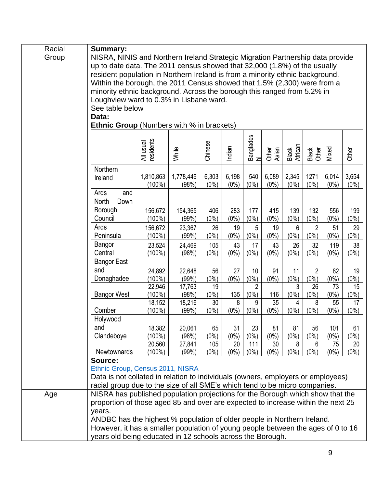|  | Racial                                  | <b>Summary:</b>                                                                                                                                           |                        |           |         |         |                 |                 |                  |                |         |         |  |
|--|-----------------------------------------|-----------------------------------------------------------------------------------------------------------------------------------------------------------|------------------------|-----------|---------|---------|-----------------|-----------------|------------------|----------------|---------|---------|--|
|  | Group                                   | NISRA, NINIS and Northern Ireland Strategic Migration Partnership data provide                                                                            |                        |           |         |         |                 |                 |                  |                |         |         |  |
|  |                                         | up to date data. The 2011 census showed that 32,000 (1.8%) of the usually                                                                                 |                        |           |         |         |                 |                 |                  |                |         |         |  |
|  |                                         | resident population in Northern Ireland is from a minority ethnic background.<br>Within the borough, the 2011 Census showed that 1.5% (2,300) were from a |                        |           |         |         |                 |                 |                  |                |         |         |  |
|  |                                         |                                                                                                                                                           |                        |           |         |         |                 |                 |                  |                |         |         |  |
|  |                                         | minority ethnic background. Across the borough this ranged from 5.2% in                                                                                   |                        |           |         |         |                 |                 |                  |                |         |         |  |
|  | Loughview ward to 0.3% in Lisbane ward. |                                                                                                                                                           |                        |           |         |         |                 |                 |                  |                |         |         |  |
|  |                                         | See table below                                                                                                                                           |                        |           |         |         |                 |                 |                  |                |         |         |  |
|  |                                         | Data:                                                                                                                                                     |                        |           |         |         |                 |                 |                  |                |         |         |  |
|  |                                         | <b>Ethnic Group</b> (Numbers with % in brackets)                                                                                                          |                        |           |         |         |                 |                 |                  |                |         |         |  |
|  |                                         |                                                                                                                                                           |                        |           |         |         |                 |                 |                  |                |         |         |  |
|  |                                         |                                                                                                                                                           | All usual<br>residents |           |         |         | Banglades<br>hi |                 |                  |                |         |         |  |
|  |                                         |                                                                                                                                                           |                        | White     | Chinese | Indian  |                 | Asian<br>Other  | Black<br>African | Black<br>Other | Mixed   | Other   |  |
|  |                                         |                                                                                                                                                           |                        |           |         |         |                 |                 |                  |                |         |         |  |
|  |                                         | Northern                                                                                                                                                  |                        |           |         |         |                 |                 |                  |                |         |         |  |
|  |                                         | Ireland                                                                                                                                                   | 1,810,863              | 1,778,449 | 6,303   | 6,198   | 540             | 6,089           | 2,345            | 1271           | 6,014   | 3,654   |  |
|  |                                         |                                                                                                                                                           | $(100\%)$              | (98%)     | $(0\%)$ | $(0\%)$ | $(0\%)$         | $(0\%)$         | $(0\%)$          | $(0\%)$        | (0%     | $(0\%)$ |  |
|  |                                         | Ards<br>and                                                                                                                                               |                        |           |         |         |                 |                 |                  |                |         |         |  |
|  |                                         | North<br>Down                                                                                                                                             |                        |           |         |         |                 |                 |                  |                |         |         |  |
|  |                                         | Borough                                                                                                                                                   | 156,672                | 154,365   | 406     | 283     | 177             | 415             | 139              | 132            | 556     | 199     |  |
|  |                                         | Council                                                                                                                                                   | $(100\%)$              | (99%)     | $(0\%)$ | $(0\%)$ | $(0\%)$         | $(0\%)$         | $(0\%)$          | $(0\%)$        | $(0\%)$ | $(0\%)$ |  |
|  |                                         | Ards                                                                                                                                                      | 156,672                | 23,367    | 26      | 19      | 5               | 19              | 6                | $\overline{2}$ | 51      | 29      |  |
|  |                                         | Peninsula                                                                                                                                                 | $(100\%)$              | (99%)     | $(0\%)$ | $(0\%)$ | $(0\%)$         | $(0\%)$         | $(0\%)$          | $(0\%)$        | $(0\%)$ | $(0\%)$ |  |
|  |                                         | Bangor                                                                                                                                                    | 23,524                 | 24,469    | 105     | 43      | 17              | 43              | 26               | 32             | 119     | 38      |  |
|  |                                         | Central                                                                                                                                                   | $(100\%)$              | (98%)     | $(0\%)$ | $(0\%)$ | $(0\%)$         | $(0\%)$         | $(0\%)$          | $(0\%)$        | (0%     | $(0\%)$ |  |
|  |                                         | <b>Bangor East</b>                                                                                                                                        |                        |           |         |         |                 |                 |                  |                |         |         |  |
|  |                                         | and                                                                                                                                                       | 24,892                 | 22,648    | 56      | 27      | 10              | 91              | 11               | $\overline{2}$ | 82      | 19      |  |
|  |                                         | Donaghadee                                                                                                                                                | $(100\%)$              | (99%)     | $(0\%)$ | $(0\%)$ | $(0\%)$         | $(0\%)$         | $(0\%)$          | $(0\%)$        | $(0\%)$ | $(0\%)$ |  |
|  |                                         |                                                                                                                                                           | 22,946                 | 17,763    | 19      |         | $\overline{2}$  |                 | 3                | 26             | 73      | 15      |  |
|  |                                         | <b>Bangor West</b>                                                                                                                                        | $(100\%)$              | (98%)     | $(0\%)$ | 135     | (0%)            | 116             | $(0\%)$          | $(0\%)$        | (0%)    | $(0\%)$ |  |
|  |                                         |                                                                                                                                                           | 18,152                 | 18,216    | 30      | 8       | 9               | $\overline{35}$ | 4                | 8              | 55      | 17      |  |
|  |                                         | Comber                                                                                                                                                    | $(100\%)$              | (99%)     | $(0\%)$ | $(0\%)$ | (0%)            | $(0\%)$         | $(0\%)$          | $(0\%)$        | $(0\%)$ | $(0\%)$ |  |
|  |                                         | Holywood                                                                                                                                                  |                        |           |         |         |                 |                 |                  |                |         |         |  |
|  |                                         | and                                                                                                                                                       | 18,382                 | 20,061    | 65      | 31      | 23              | 81              | 81               | 56             | 101     | 61      |  |
|  |                                         | Clandeboye                                                                                                                                                | $(100\%)$              | (98%)     | $(0\%)$ | $(0\%)$ | $(0\%)$         | $(0\%)$         | $(0\%)$          | $(0\%)$        | $(0\%)$ | $(0\%)$ |  |
|  |                                         |                                                                                                                                                           | 20,560                 | 27,841    | 105     | 20      | 111             | 30              | 8                | 6              | 75      | 20      |  |
|  |                                         | Newtownards                                                                                                                                               | $(100\%)$              | (99%)     | $(0\%)$ | $(0\%)$ | $(0\%)$         | $(0\%)$         | $(0\%)$          | $(0\%)$        | $(0\%)$ | $(0\%)$ |  |
|  |                                         | Source:                                                                                                                                                   |                        |           |         |         |                 |                 |                  |                |         |         |  |
|  |                                         | Ethnic Group, Census 2011, NISRA                                                                                                                          |                        |           |         |         |                 |                 |                  |                |         |         |  |
|  |                                         | Data is not collated in relation to individuals (owners, employers or employees)                                                                          |                        |           |         |         |                 |                 |                  |                |         |         |  |
|  |                                         | racial group due to the size of all SME's which tend to be micro companies.                                                                               |                        |           |         |         |                 |                 |                  |                |         |         |  |
|  | Age                                     | NISRA has published population projections for the Borough which show that the                                                                            |                        |           |         |         |                 |                 |                  |                |         |         |  |
|  |                                         | proportion of those aged 85 and over are expected to increase within the next 25                                                                          |                        |           |         |         |                 |                 |                  |                |         |         |  |
|  |                                         | years.                                                                                                                                                    |                        |           |         |         |                 |                 |                  |                |         |         |  |
|  |                                         | ANDBC has the highest % population of older people in Northern Ireland.                                                                                   |                        |           |         |         |                 |                 |                  |                |         |         |  |
|  |                                         | However, it has a smaller population of young people between the ages of 0 to 16                                                                          |                        |           |         |         |                 |                 |                  |                |         |         |  |
|  |                                         | years old being educated in 12 schools across the Borough.                                                                                                |                        |           |         |         |                 |                 |                  |                |         |         |  |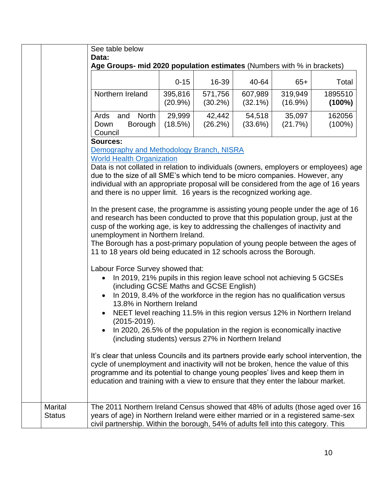|                                                                                                                                                                                                                                                    | See table below<br>Data:<br>Age Groups- mid 2020 population estimates (Numbers with % in brackets)                                                                                                                                                                                                                                                                                                                                                                                                                                                                                                                                                                                                                                                                                                                                                                                                                                                                                                                                                                                                                                                                                                                                                                                                                                                                                                                                                                                        |                       |                       |                       |                       |                     |  |
|----------------------------------------------------------------------------------------------------------------------------------------------------------------------------------------------------------------------------------------------------|-------------------------------------------------------------------------------------------------------------------------------------------------------------------------------------------------------------------------------------------------------------------------------------------------------------------------------------------------------------------------------------------------------------------------------------------------------------------------------------------------------------------------------------------------------------------------------------------------------------------------------------------------------------------------------------------------------------------------------------------------------------------------------------------------------------------------------------------------------------------------------------------------------------------------------------------------------------------------------------------------------------------------------------------------------------------------------------------------------------------------------------------------------------------------------------------------------------------------------------------------------------------------------------------------------------------------------------------------------------------------------------------------------------------------------------------------------------------------------------------|-----------------------|-----------------------|-----------------------|-----------------------|---------------------|--|
|                                                                                                                                                                                                                                                    |                                                                                                                                                                                                                                                                                                                                                                                                                                                                                                                                                                                                                                                                                                                                                                                                                                                                                                                                                                                                                                                                                                                                                                                                                                                                                                                                                                                                                                                                                           | $0 - 15$              | 16-39                 | 40-64                 | $65+$                 | Total               |  |
|                                                                                                                                                                                                                                                    | Northern Ireland                                                                                                                                                                                                                                                                                                                                                                                                                                                                                                                                                                                                                                                                                                                                                                                                                                                                                                                                                                                                                                                                                                                                                                                                                                                                                                                                                                                                                                                                          | 395,816<br>$(20.9\%)$ | 571,756<br>$(30.2\%)$ | 607,989<br>$(32.1\%)$ | 319,949<br>$(16.9\%)$ | 1895510<br>(100%)   |  |
|                                                                                                                                                                                                                                                    | North<br>Ards<br>and<br>Down<br>Borough<br>Council                                                                                                                                                                                                                                                                                                                                                                                                                                                                                                                                                                                                                                                                                                                                                                                                                                                                                                                                                                                                                                                                                                                                                                                                                                                                                                                                                                                                                                        | 29,999<br>(18.5%)     | 42,442<br>(26.2%)     | 54,518<br>(33.6%)     | 35,097<br>(21.7%)     | 162056<br>$(100\%)$ |  |
|                                                                                                                                                                                                                                                    | <b>Sources:</b><br>Demography and Methodology Branch, NISRA<br><b>World Health Organization</b><br>Data is not collated in relation to individuals (owners, employers or employees) age<br>due to the size of all SME's which tend to be micro companies. However, any<br>individual with an appropriate proposal will be considered from the age of 16 years<br>and there is no upper limit. 16 years is the recognized working age.<br>In the present case, the programme is assisting young people under the age of 16<br>and research has been conducted to prove that this population group, just at the<br>cusp of the working age, is key to addressing the challenges of inactivity and<br>unemployment in Northern Ireland.<br>The Borough has a post-primary population of young people between the ages of<br>11 to 18 years old being educated in 12 schools across the Borough.<br>Labour Force Survey showed that:<br>In 2019, 21% pupils in this region leave school not achieving 5 GCSEs<br>(including GCSE Maths and GCSE English)<br>In 2019, 8.4% of the workforce in the region has no qualification versus<br>13.8% in Northern Ireland<br>NEET level reaching 11.5% in this region versus 12% in Northern Ireland<br>$(2015 - 2019).$<br>In 2020, 26.5% of the population in the region is economically inactive<br>(including students) versus 27% in Northern Ireland<br>It's clear that unless Councils and its partners provide early school intervention, the |                       |                       |                       |                       |                     |  |
| cycle of unemployment and inactivity will not be broken, hence the value of this<br>programme and its potential to change young peoples' lives and keep them in<br>education and training with a view to ensure that they enter the labour market. |                                                                                                                                                                                                                                                                                                                                                                                                                                                                                                                                                                                                                                                                                                                                                                                                                                                                                                                                                                                                                                                                                                                                                                                                                                                                                                                                                                                                                                                                                           |                       |                       |                       |                       |                     |  |
| <b>Marital</b><br><b>Status</b>                                                                                                                                                                                                                    | The 2011 Northern Ireland Census showed that 48% of adults (those aged over 16<br>years of age) in Northern Ireland were either married or in a registered same-sex<br>civil partnership. Within the borough, 54% of adults fell into this category. This                                                                                                                                                                                                                                                                                                                                                                                                                                                                                                                                                                                                                                                                                                                                                                                                                                                                                                                                                                                                                                                                                                                                                                                                                                 |                       |                       |                       |                       |                     |  |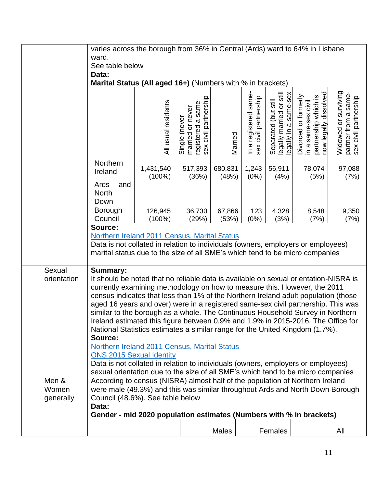|             | varies across the borough from 36% in Central (Ards) ward to 64% in Lisbane                                                                                     |                        |                                                                                     |                  |                                                        |                                                                           |                                                                                                          |                      |                                                       |  |
|-------------|-----------------------------------------------------------------------------------------------------------------------------------------------------------------|------------------------|-------------------------------------------------------------------------------------|------------------|--------------------------------------------------------|---------------------------------------------------------------------------|----------------------------------------------------------------------------------------------------------|----------------------|-------------------------------------------------------|--|
|             | ward.                                                                                                                                                           |                        |                                                                                     |                  |                                                        |                                                                           |                                                                                                          |                      |                                                       |  |
|             | See table below                                                                                                                                                 |                        |                                                                                     |                  |                                                        |                                                                           |                                                                                                          |                      |                                                       |  |
|             | Data:<br>Marital Status (All aged 16+) (Numbers with % in brackets)                                                                                             |                        |                                                                                     |                  |                                                        |                                                                           |                                                                                                          |                      |                                                       |  |
|             |                                                                                                                                                                 |                        |                                                                                     |                  |                                                        |                                                                           |                                                                                                          |                      |                                                       |  |
|             |                                                                                                                                                                 | All usual residents    | registered a same-<br>sex civil partnership<br>married or never<br>(never<br>Single | Married          | registered same-<br>civil partnership<br>$\frac{1}{2}$ | Separated (but still<br>legally married or still<br>legally in a same-sex | dissolved<br>Divorced or formerly<br>in a same-sex civil<br>partnership which is<br>now legally dissolve | Widowed or surviving | same-<br>partner from a same<br>sex civil partnership |  |
|             | Northern<br>Ireland                                                                                                                                             | 1,431,540<br>$(100\%)$ | 517,393<br>(36%)                                                                    | 680,831<br>(48%) | 1,243<br>(0%)                                          | 56,911<br>(4%)                                                            | 78,074<br>(5%)                                                                                           |                      | 97,088<br>(7%)                                        |  |
|             | Ards<br>and<br><b>North</b><br>Down                                                                                                                             |                        |                                                                                     |                  |                                                        |                                                                           |                                                                                                          |                      |                                                       |  |
|             | Borough<br>Council                                                                                                                                              | 126,945<br>$(100\%)$   | 36,730<br>(29%)                                                                     | 67,866<br>(53%)  | 123<br>(0%)                                            | 4,328<br>(3%)                                                             | 8,548<br>(7%)                                                                                            |                      | 9,350<br>(7%)                                         |  |
|             | Source:                                                                                                                                                         |                        |                                                                                     |                  |                                                        |                                                                           |                                                                                                          |                      |                                                       |  |
|             | <b>Northern Ireland 2011 Census, Marital Status</b>                                                                                                             |                        |                                                                                     |                  |                                                        |                                                                           |                                                                                                          |                      |                                                       |  |
|             | Data is not collated in relation to individuals (owners, employers or employees)                                                                                |                        |                                                                                     |                  |                                                        |                                                                           |                                                                                                          |                      |                                                       |  |
|             | marital status due to the size of all SME's which tend to be micro companies                                                                                    |                        |                                                                                     |                  |                                                        |                                                                           |                                                                                                          |                      |                                                       |  |
|             |                                                                                                                                                                 |                        |                                                                                     |                  |                                                        |                                                                           |                                                                                                          |                      |                                                       |  |
| Sexual      | <b>Summary:</b>                                                                                                                                                 |                        |                                                                                     |                  |                                                        |                                                                           |                                                                                                          |                      |                                                       |  |
| orientation | It should be noted that no reliable data is available on sexual orientation-NISRA is                                                                            |                        |                                                                                     |                  |                                                        |                                                                           |                                                                                                          |                      |                                                       |  |
|             | currently examining methodology on how to measure this. However, the 2011<br>census indicates that less than 1% of the Northern Ireland adult population (those |                        |                                                                                     |                  |                                                        |                                                                           |                                                                                                          |                      |                                                       |  |
|             | aged 16 years and over) were in a registered same-sex civil partnership. This was                                                                               |                        |                                                                                     |                  |                                                        |                                                                           |                                                                                                          |                      |                                                       |  |
|             | similar to the borough as a whole. The Continuous Household Survey in Northern                                                                                  |                        |                                                                                     |                  |                                                        |                                                                           |                                                                                                          |                      |                                                       |  |
|             | Ireland estimated this figure between 0.9% and 1.9% in 2015-2016. The Office for                                                                                |                        |                                                                                     |                  |                                                        |                                                                           |                                                                                                          |                      |                                                       |  |
|             | National Statistics estimates a similar range for the United Kingdom (1.7%).                                                                                    |                        |                                                                                     |                  |                                                        |                                                                           |                                                                                                          |                      |                                                       |  |
|             | Source:                                                                                                                                                         |                        |                                                                                     |                  |                                                        |                                                                           |                                                                                                          |                      |                                                       |  |
|             | Northern Ireland 2011 Census, Marital Status                                                                                                                    |                        |                                                                                     |                  |                                                        |                                                                           |                                                                                                          |                      |                                                       |  |
|             | <b>ONS 2015 Sexual Identity</b><br>Data is not collated in relation to individuals (owners, employers or employees)                                             |                        |                                                                                     |                  |                                                        |                                                                           |                                                                                                          |                      |                                                       |  |
|             | sexual orientation due to the size of all SME's which tend to be micro companies                                                                                |                        |                                                                                     |                  |                                                        |                                                                           |                                                                                                          |                      |                                                       |  |
| Men &       | According to census (NISRA) almost half of the population of Northern Ireland                                                                                   |                        |                                                                                     |                  |                                                        |                                                                           |                                                                                                          |                      |                                                       |  |
| Women       | were male (49.3%) and this was similar throughout Ards and North Down Borough                                                                                   |                        |                                                                                     |                  |                                                        |                                                                           |                                                                                                          |                      |                                                       |  |
| generally   | Council (48.6%). See table below                                                                                                                                |                        |                                                                                     |                  |                                                        |                                                                           |                                                                                                          |                      |                                                       |  |
|             | Data:                                                                                                                                                           |                        |                                                                                     |                  |                                                        |                                                                           |                                                                                                          |                      |                                                       |  |
|             | Gender - mid 2020 population estimates (Numbers with % in brackets)                                                                                             |                        |                                                                                     |                  |                                                        |                                                                           |                                                                                                          |                      |                                                       |  |
|             |                                                                                                                                                                 |                        |                                                                                     | <b>Males</b>     |                                                        | Females                                                                   |                                                                                                          | All                  |                                                       |  |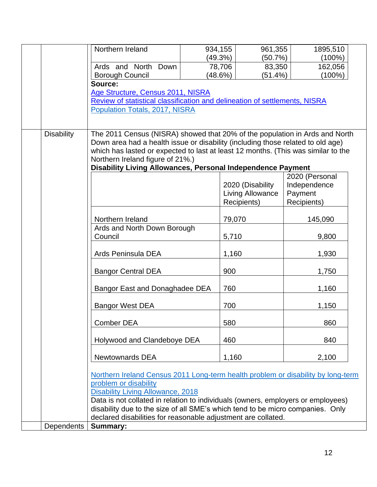|                   | Northern Ireland                                                                                                                                               | 934,155 | 961,355          | 1895,510       |  |
|-------------------|----------------------------------------------------------------------------------------------------------------------------------------------------------------|---------|------------------|----------------|--|
|                   |                                                                                                                                                                | (49.3%) | (50.7%)          | $(100\%)$      |  |
|                   | Ards and North Down                                                                                                                                            |         | 83,350<br>78,706 | 162,056        |  |
|                   | <b>Borough Council</b>                                                                                                                                         | (48.6%) | (51.4%)          | $(100\%)$      |  |
|                   | Source:                                                                                                                                                        |         |                  |                |  |
|                   | Age Structure, Census 2011, NISRA                                                                                                                              |         |                  |                |  |
|                   | Review of statistical classification and delineation of settlements, NISRA                                                                                     |         |                  |                |  |
|                   | Population Totals, 2017, NISRA                                                                                                                                 |         |                  |                |  |
|                   |                                                                                                                                                                |         |                  |                |  |
| <b>Disability</b> | The 2011 Census (NISRA) showed that 20% of the population in Ards and North<br>Down area had a health issue or disability (including those related to old age) |         |                  |                |  |
|                   | which has lasted or expected to last at least 12 months. (This was similar to the                                                                              |         |                  |                |  |
|                   | Northern Ireland figure of 21%.)                                                                                                                               |         |                  |                |  |
|                   | Disability Living Allowances, Personal Independence Payment                                                                                                    |         |                  |                |  |
|                   |                                                                                                                                                                |         |                  | 2020 (Personal |  |
|                   |                                                                                                                                                                |         | 2020 (Disability | Independence   |  |
|                   |                                                                                                                                                                |         | Living Allowance | Payment        |  |
|                   |                                                                                                                                                                |         | Recipients)      | Recipients)    |  |
|                   |                                                                                                                                                                |         |                  |                |  |
|                   | Northern Ireland                                                                                                                                               |         | 79,070           | 145,090        |  |
|                   | Ards and North Down Borough                                                                                                                                    |         |                  |                |  |
|                   | Council                                                                                                                                                        |         | 5,710            | 9,800          |  |
|                   |                                                                                                                                                                |         |                  |                |  |
|                   | Ards Peninsula DEA                                                                                                                                             |         | 1,160            | 1,930          |  |
|                   |                                                                                                                                                                |         |                  |                |  |
|                   | <b>Bangor Central DEA</b>                                                                                                                                      |         | 900              | 1,750          |  |
|                   |                                                                                                                                                                |         |                  |                |  |
|                   | Bangor East and Donaghadee DEA                                                                                                                                 |         | 760              | 1,160          |  |
|                   |                                                                                                                                                                |         |                  |                |  |
|                   | <b>Bangor West DEA</b>                                                                                                                                         |         | 700              | 1,150          |  |
|                   |                                                                                                                                                                |         |                  |                |  |
|                   | <b>Comber DEA</b>                                                                                                                                              |         | 580              | 860            |  |
|                   | Holywood and Clandeboye DEA                                                                                                                                    |         | 460              | 840            |  |
|                   |                                                                                                                                                                |         |                  |                |  |
|                   | <b>Newtownards DEA</b>                                                                                                                                         |         | 1,160            | 2,100          |  |
|                   |                                                                                                                                                                |         |                  |                |  |
|                   | Northern Ireland Census 2011 Long-term health problem or disability by long-term                                                                               |         |                  |                |  |
|                   | problem or disability                                                                                                                                          |         |                  |                |  |
|                   | <b>Disability Living Allowance, 2018</b>                                                                                                                       |         |                  |                |  |
|                   | Data is not collated in relation to individuals (owners, employers or employees)                                                                               |         |                  |                |  |
|                   | disability due to the size of all SME's which tend to be micro companies. Only                                                                                 |         |                  |                |  |
|                   | declared disabilities for reasonable adjustment are collated.                                                                                                  |         |                  |                |  |
| Dependents        | <b>Summary:</b>                                                                                                                                                |         |                  |                |  |
|                   |                                                                                                                                                                |         |                  |                |  |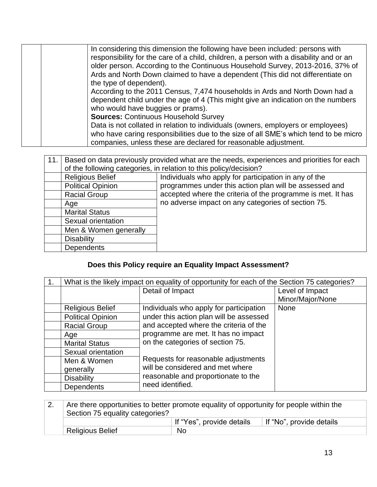| In considering this dimension the following have been included: persons with           |
|----------------------------------------------------------------------------------------|
| responsibility for the care of a child, children, a person with a disability and or an |
| older person. According to the Continuous Household Survey, 2013-2016, 37% of          |
| Ards and North Down claimed to have a dependent (This did not differentiate on         |
| the type of dependent).                                                                |
| According to the 2011 Census, 7,474 households in Ards and North Down had a            |
| dependent child under the age of 4 (This might give an indication on the numbers       |
| who would have buggies or prams).                                                      |
| <b>Sources: Continuous Household Survey</b>                                            |
| Data is not collated in relation to individuals (owners, employers or employees)       |
| who have caring responsibilities due to the size of all SME's which tend to be micro   |
| companies, unless these are declared for reasonable adjustment.                        |

| 11. | Based on data previously provided what are the needs, experiences and priorities for each |                                                             |  |
|-----|-------------------------------------------------------------------------------------------|-------------------------------------------------------------|--|
|     | of the following categories, in relation to this policy/decision?                         |                                                             |  |
|     | <b>Religious Belief</b>                                                                   | Individuals who apply for participation in any of the       |  |
|     | <b>Political Opinion</b>                                                                  | programmes under this action plan will be assessed and      |  |
|     | <b>Racial Group</b>                                                                       | accepted where the criteria of the programme is met. It has |  |
|     | Age                                                                                       | no adverse impact on any categories of section 75.          |  |
|     | <b>Marital Status</b>                                                                     |                                                             |  |
|     | Sexual orientation                                                                        |                                                             |  |
|     | Men & Women generally                                                                     |                                                             |  |
|     | <b>Disability</b>                                                                         |                                                             |  |
|     | Dependents                                                                                |                                                             |  |

## **Does this Policy require an Equality Impact Assessment?**

| 1 <sub>1</sub> | What is the likely impact on equality of opportunity for each of the Section 75 categories? |                                         |                  |
|----------------|---------------------------------------------------------------------------------------------|-----------------------------------------|------------------|
|                |                                                                                             | Detail of Impact                        | Level of Impact  |
|                |                                                                                             |                                         | Minor/Major/None |
|                | <b>Religious Belief</b>                                                                     | Individuals who apply for participation | <b>None</b>      |
|                | <b>Political Opinion</b>                                                                    | under this action plan will be assessed |                  |
|                | <b>Racial Group</b>                                                                         | and accepted where the criteria of the  |                  |
|                | Age                                                                                         | programme are met. It has no impact     |                  |
|                | <b>Marital Status</b>                                                                       | on the categories of section 75.        |                  |
|                | Sexual orientation                                                                          |                                         |                  |
|                | Men & Women                                                                                 | Requests for reasonable adjustments     |                  |
|                | generally                                                                                   | will be considered and met where        |                  |
|                | <b>Disability</b>                                                                           | reasonable and proportionate to the     |                  |
|                | <b>Dependents</b>                                                                           | need identified.                        |                  |

|                                 | Are there opportunities to better promote equality of opportunity for people within the |                           |                          |
|---------------------------------|-----------------------------------------------------------------------------------------|---------------------------|--------------------------|
| Section 75 equality categories? |                                                                                         |                           |                          |
|                                 |                                                                                         | If "Yes", provide details | If "No", provide details |
|                                 | <b>Religious Belief</b>                                                                 | No.                       |                          |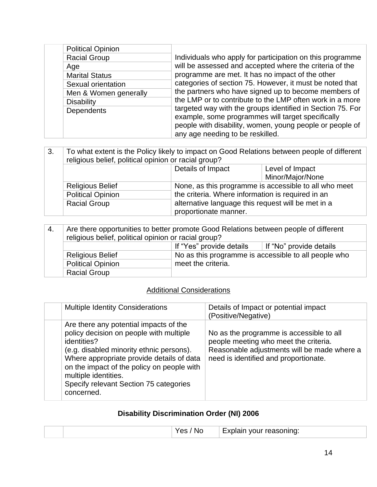| <b>Political Opinion</b> |                                                                                                                                                                      |
|--------------------------|----------------------------------------------------------------------------------------------------------------------------------------------------------------------|
| <b>Racial Group</b>      | Individuals who apply for participation on this programme                                                                                                            |
| Age                      | will be assessed and accepted where the criteria of the                                                                                                              |
| <b>Marital Status</b>    | programme are met. It has no impact of the other<br>categories of section 75. However, it must be noted that<br>the partners who have signed up to become members of |
| Sexual orientation       |                                                                                                                                                                      |
| Men & Women generally    |                                                                                                                                                                      |
| <b>Disability</b>        | the LMP or to contribute to the LMP often work in a more                                                                                                             |
| <b>Dependents</b>        | targeted way with the groups identified in Section 75. For<br>example, some programmes will target specifically                                                      |
|                          | people with disability, women, young people or people of                                                                                                             |
|                          | any age needing to be reskilled.                                                                                                                                     |

| 3. | To what extent is the Policy likely to impact on Good Relations between people of different<br>religious belief, political opinion or racial group? |                                                                             |                                                       |
|----|-----------------------------------------------------------------------------------------------------------------------------------------------------|-----------------------------------------------------------------------------|-------------------------------------------------------|
|    |                                                                                                                                                     | Details of Impact                                                           | Level of Impact                                       |
|    |                                                                                                                                                     |                                                                             | Minor/Major/None                                      |
|    | <b>Religious Belief</b>                                                                                                                             |                                                                             | None, as this programme is accessible to all who meet |
|    | <b>Political Opinion</b>                                                                                                                            | the criteria. Where information is required in an                           |                                                       |
|    | <b>Racial Group</b>                                                                                                                                 | alternative language this request will be met in a<br>proportionate manner. |                                                       |

| -4.                      | Are there opportunities to better promote Good Relations between people of different<br>religious belief, political opinion or racial group? |                                                      |                         |
|--------------------------|----------------------------------------------------------------------------------------------------------------------------------------------|------------------------------------------------------|-------------------------|
|                          |                                                                                                                                              | If "Yes" provide details                             | If "No" provide details |
|                          | <b>Religious Belief</b>                                                                                                                      | No as this programme is accessible to all people who |                         |
| <b>Political Opinion</b> |                                                                                                                                              | meet the criteria.                                   |                         |
|                          | <b>Racial Group</b>                                                                                                                          |                                                      |                         |

### **Additional Considerations**

| <b>Multiple Identity Considerations</b>                                                                                                                                                                                                                                                                                 | Details of Impact or potential impact<br>(Positive/Negative)                                                                                                              |
|-------------------------------------------------------------------------------------------------------------------------------------------------------------------------------------------------------------------------------------------------------------------------------------------------------------------------|---------------------------------------------------------------------------------------------------------------------------------------------------------------------------|
| Are there any potential impacts of the<br>policy decision on people with multiple<br>identities?<br>(e.g. disabled minority ethnic persons).<br>Where appropriate provide details of data<br>on the impact of the policy on people with<br>multiple identities.<br>Specify relevant Section 75 categories<br>concerned. | No as the programme is accessible to all<br>people meeting who meet the criteria.<br>Reasonable adjustments will be made where a<br>need is identified and proportionate. |

## **Disability Discrimination Order (NI) 2006**

|  | IМ | reasoning:<br>וונר<br>$\mathbf{v}$<br><b>STATISTICS</b> |
|--|----|---------------------------------------------------------|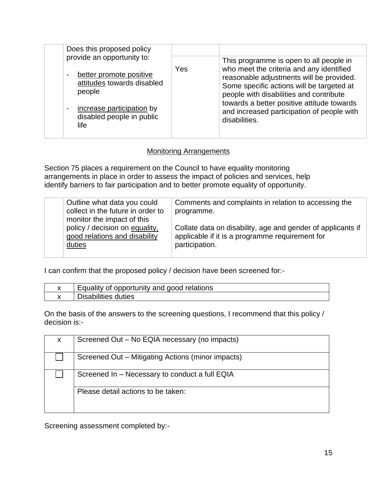| Does this proposed policy                                                                                                                                                                   |     |                                                                                                                                                                                                                                                                                                                                      |
|---------------------------------------------------------------------------------------------------------------------------------------------------------------------------------------------|-----|--------------------------------------------------------------------------------------------------------------------------------------------------------------------------------------------------------------------------------------------------------------------------------------------------------------------------------------|
| provide an opportunity to:<br>better promote positive<br>attitudes towards disabled<br>people<br>increase participation by<br>$\overline{\phantom{a}}$<br>disabled people in public<br>life | Yes | This programme is open to all people in<br>who meet the criteria and any identified<br>reasonable adjustments will be provided.<br>Some specific actions will be targeted at<br>people with disabilities and contribute<br>towards a better positive attitude towards<br>and increased participation of people with<br>disabilities. |

#### Monitoring Arrangements

Section 75 places a requirement on the Council to have equality monitoring arrangements in place in order to assess the impact of policies and services, help identify barriers to fair participation and to better promote equality of opportunity.

|  | Outline what data you could<br>collect in the future in order to                                        | Comments and complaints in relation to accessing the<br>programme.                                                               |
|--|---------------------------------------------------------------------------------------------------------|----------------------------------------------------------------------------------------------------------------------------------|
|  | monitor the impact of this<br>policy / decision on equality,<br>good relations and disability<br>duties | Collate data on disability, age and gender of applicants if<br>applicable if it is a programme requirement for<br>participation. |
|  |                                                                                                         |                                                                                                                                  |

I can confirm that the proposed policy / decision have been screened for:-

| Equality of opportunity and good relations |
|--------------------------------------------|
| Disabilities duties                        |

On the basis of the answers to the screening questions, I recommend that this policy / decision is:-

| X                                              | Screened Out – No EQIA necessary (no impacts)     |
|------------------------------------------------|---------------------------------------------------|
|                                                | Screened Out – Mitigating Actions (minor impacts) |
| Screened In – Necessary to conduct a full EQIA |                                                   |
|                                                | Please detail actions to be taken:                |

Screening assessment completed by:-